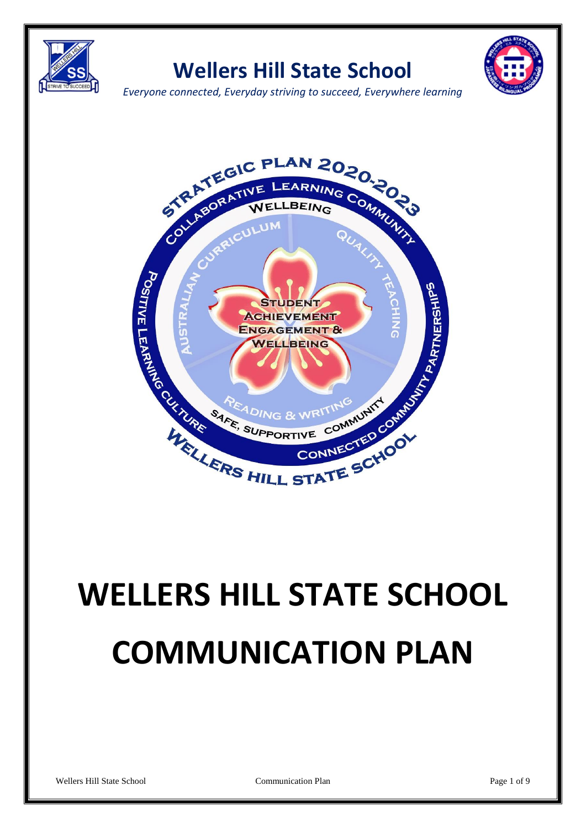

# **Wellers Hill State School**



*Everyone connected, Everyday striving to succeed, Everywhere learning*



# **WELLERS HILL STATE SCHOOL COMMUNICATION PLAN**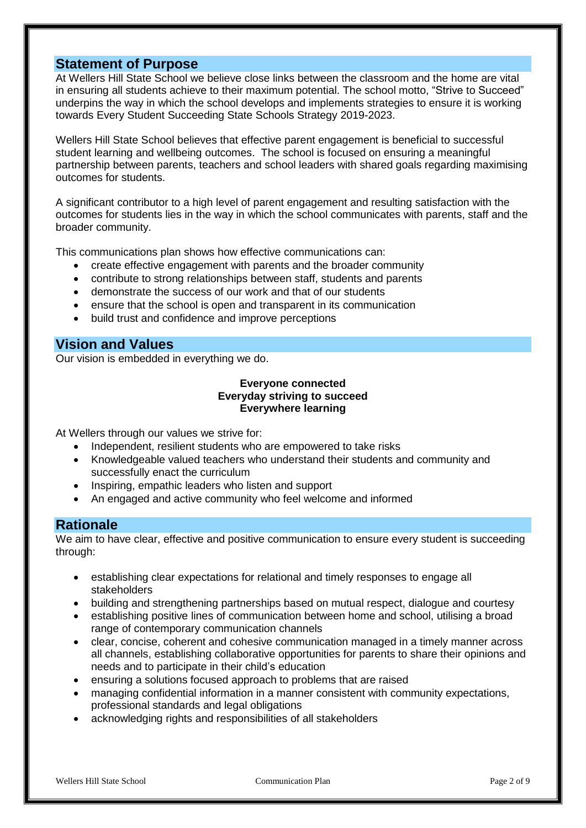## **Statement of Purpose**

At Wellers Hill State School we believe close links between the classroom and the home are vital in ensuring all students achieve to their maximum potential. The school motto, "Strive to Succeed" underpins the way in which the school develops and implements strategies to ensure it is working towards Every Student Succeeding State Schools Strategy 2019-2023.

Wellers Hill State School believes that effective parent engagement is beneficial to successful student learning and wellbeing outcomes. The school is focused on ensuring a meaningful partnership between parents, teachers and school leaders with shared goals regarding maximising outcomes for students.

A significant contributor to a high level of parent engagement and resulting satisfaction with the outcomes for students lies in the way in which the school communicates with parents, staff and the broader community.

This communications plan shows how effective communications can:

- create effective engagement with parents and the broader community
- contribute to strong relationships between staff, students and parents
- demonstrate the success of our work and that of our students
- ensure that the school is open and transparent in its communication
- build trust and confidence and improve perceptions

#### **Vision and Values**

Our vision is embedded in everything we do.

#### **Everyone connected Everyday striving to succeed Everywhere learning**

At Wellers through our values we strive for:

- Independent, resilient students who are empowered to take risks
- Knowledgeable valued teachers who understand their students and community and successfully enact the curriculum
- Inspiring, empathic leaders who listen and support
- An engaged and active community who feel welcome and informed

#### **Rationale**

We aim to have clear, effective and positive communication to ensure every student is succeeding through:

- establishing clear expectations for relational and timely responses to engage all stakeholders
- building and strengthening partnerships based on mutual respect, dialogue and courtesy
- establishing positive lines of communication between home and school, utilising a broad range of contemporary communication channels
- clear, concise, coherent and cohesive communication managed in a timely manner across all channels, establishing collaborative opportunities for parents to share their opinions and needs and to participate in their child's education
- ensuring a solutions focused approach to problems that are raised
- managing confidential information in a manner consistent with community expectations, professional standards and legal obligations
- acknowledging rights and responsibilities of all stakeholders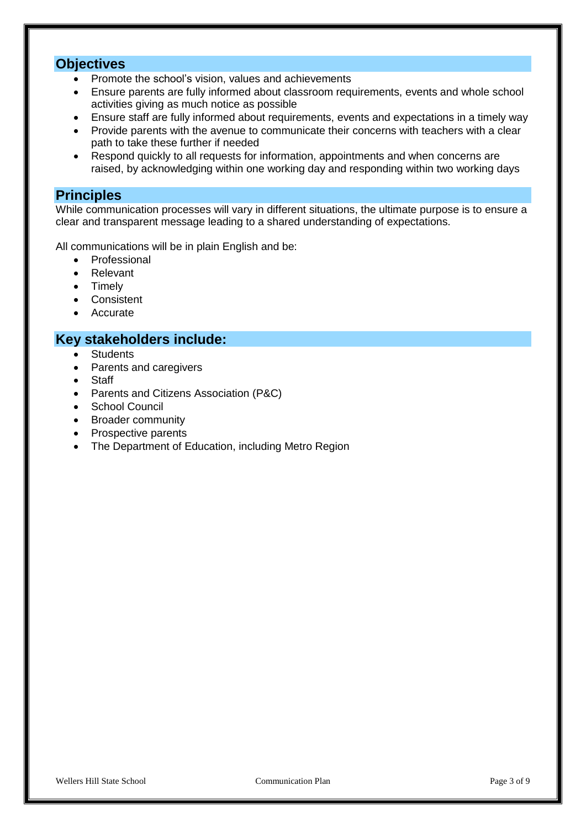### **Objectives**

- Promote the school's vision, values and achievements
- Ensure parents are fully informed about classroom requirements, events and whole school activities giving as much notice as possible
- Ensure staff are fully informed about requirements, events and expectations in a timely way
- Provide parents with the avenue to communicate their concerns with teachers with a clear path to take these further if needed
- Respond quickly to all requests for information, appointments and when concerns are raised, by acknowledging within one working day and responding within two working days

#### **Principles**

While communication processes will vary in different situations, the ultimate purpose is to ensure a clear and transparent message leading to a shared understanding of expectations.

All communications will be in plain English and be:

- Professional
- Relevant
- Timely
- Consistent
- Accurate

#### **Key stakeholders include:**

- Students
- Parents and caregivers
- Staff
- Parents and Citizens Association (P&C)
- School Council
- Broader community
- Prospective parents
- The Department of Education, including Metro Region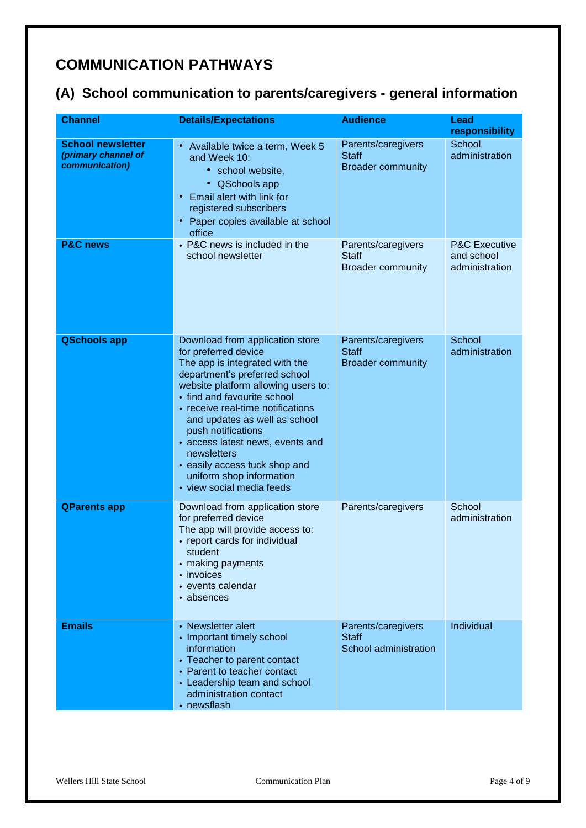# **COMMUNICATION PATHWAYS**

## **(A) School communication to parents/caregivers - general information**

| <b>Channel</b>                                                    | <b>Details/Expectations</b>                                                                                                                                                                                                                                                                                                                                                                                                               | <b>Audience</b>                                                | <b>Lead</b><br>responsibility                            |
|-------------------------------------------------------------------|-------------------------------------------------------------------------------------------------------------------------------------------------------------------------------------------------------------------------------------------------------------------------------------------------------------------------------------------------------------------------------------------------------------------------------------------|----------------------------------------------------------------|----------------------------------------------------------|
| <b>School newsletter</b><br>(primary channel of<br>communication) | • Available twice a term, Week 5<br>and Week 10:<br>• school website,<br>• QSchools app<br>Email alert with link for<br>registered subscribers<br>Paper copies available at school<br>office                                                                                                                                                                                                                                              | Parents/caregivers<br><b>Staff</b><br><b>Broader community</b> | School<br>administration                                 |
| <b>P&amp;C news</b>                                               | • P&C news is included in the<br>school newsletter                                                                                                                                                                                                                                                                                                                                                                                        | Parents/caregivers<br><b>Staff</b><br><b>Broader community</b> | <b>P&amp;C Executive</b><br>and school<br>administration |
| <b>QSchools app</b>                                               | Download from application store<br>for preferred device<br>The app is integrated with the<br>department's preferred school<br>website platform allowing users to:<br>• find and favourite school<br>• receive real-time notifications<br>and updates as well as school<br>push notifications<br>• access latest news, events and<br>newsletters<br>• easily access tuck shop and<br>uniform shop information<br>• view social media feeds | Parents/caregivers<br><b>Staff</b><br><b>Broader community</b> | School<br>administration                                 |
| <b>QParents app</b>                                               | Download from application store<br>for preferred device<br>The app will provide access to:<br>• report cards for individual<br>student<br>• making payments<br>• invoices<br>• events calendar<br>• absences                                                                                                                                                                                                                              | Parents/caregivers                                             | School<br>administration                                 |
| <b>Emails</b>                                                     | • Newsletter alert<br>• Important timely school<br>information<br>• Teacher to parent contact<br>• Parent to teacher contact<br>• Leadership team and school<br>administration contact<br>• newsflash                                                                                                                                                                                                                                     | Parents/caregivers<br><b>Staff</b><br>School administration    | Individual                                               |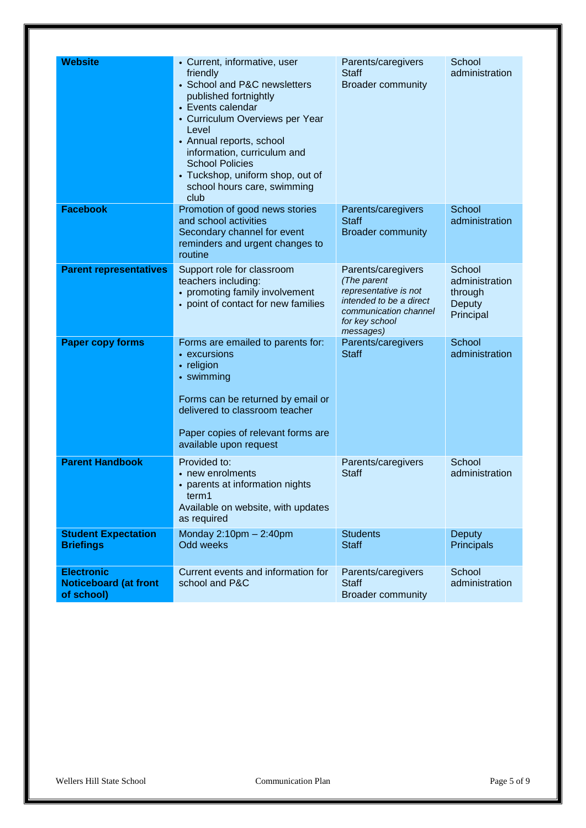| <b>Website</b>                                                  | • Current, informative, user<br>friendly<br>• School and P&C newsletters<br>published fortnightly<br>• Events calendar<br>• Curriculum Overviews per Year<br>Level<br>• Annual reports, school<br>information, curriculum and<br><b>School Policies</b><br>• Tuckshop, uniform shop, out of<br>school hours care, swimming<br>club | Parents/caregivers<br><b>Staff</b><br><b>Broader community</b>                                                                                | School<br>administration                                          |
|-----------------------------------------------------------------|------------------------------------------------------------------------------------------------------------------------------------------------------------------------------------------------------------------------------------------------------------------------------------------------------------------------------------|-----------------------------------------------------------------------------------------------------------------------------------------------|-------------------------------------------------------------------|
| <b>Facebook</b>                                                 | Promotion of good news stories<br>and school activities<br>Secondary channel for event<br>reminders and urgent changes to<br>routine                                                                                                                                                                                               | Parents/caregivers<br><b>Staff</b><br><b>Broader community</b>                                                                                | School<br>administration                                          |
| <b>Parent representatives</b>                                   | Support role for classroom<br>teachers including:<br>• promoting family involvement<br>• point of contact for new families                                                                                                                                                                                                         | Parents/caregivers<br>(The parent<br>representative is not<br>intended to be a direct<br>communication channel<br>for key school<br>messages) | School<br>administration<br>through<br><b>Deputy</b><br>Principal |
| <b>Paper copy forms</b>                                         | Forms are emailed to parents for:<br>• excursions<br>• religion<br>• swimming<br>Forms can be returned by email or<br>delivered to classroom teacher<br>Paper copies of relevant forms are<br>available upon request                                                                                                               | Parents/caregivers<br><b>Staff</b>                                                                                                            | School<br>administration                                          |
| <b>Parent Handbook</b>                                          | Provided to:<br>• new enrolments<br>• parents at information nights<br>term1<br>Available on website, with updates<br>as required                                                                                                                                                                                                  | Parents/caregivers<br><b>Staff</b>                                                                                                            | School<br>administration                                          |
| <b>Student Expectation</b><br><b>Briefings</b>                  | Monday $2:10$ pm $-2:40$ pm<br>Odd weeks                                                                                                                                                                                                                                                                                           | <b>Students</b><br><b>Staff</b>                                                                                                               | <b>Deputy</b><br>Principals                                       |
| <b>Electronic</b><br><b>Noticeboard (at front</b><br>of school) | Current events and information for<br>school and P&C                                                                                                                                                                                                                                                                               | Parents/caregivers<br><b>Staff</b><br><b>Broader community</b>                                                                                | School<br>administration                                          |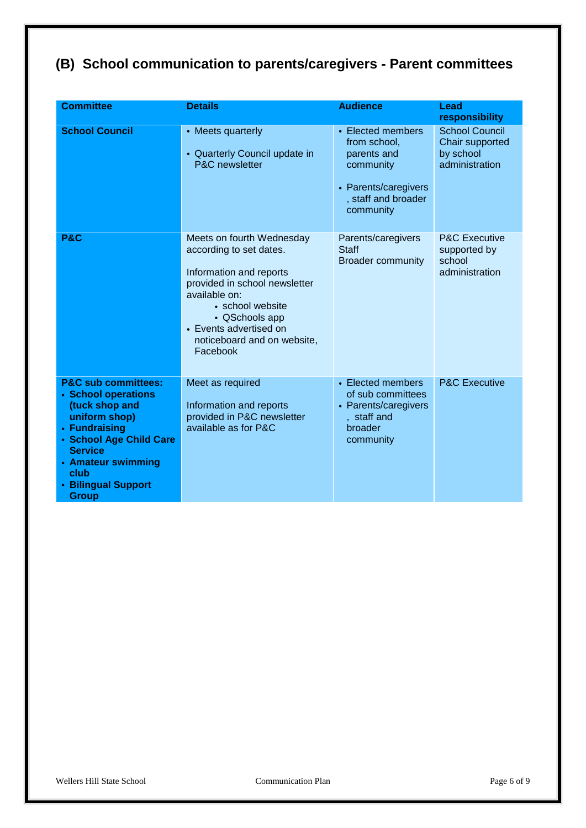# **(B) School communication to parents/caregivers - Parent committees**

| <b>Committee</b>                                                                                                                                                                                                            | <b>Details</b>                                                                                                                                                                                                                               | <b>Audience</b>                                                                                                           | Lead                                                                    |
|-----------------------------------------------------------------------------------------------------------------------------------------------------------------------------------------------------------------------------|----------------------------------------------------------------------------------------------------------------------------------------------------------------------------------------------------------------------------------------------|---------------------------------------------------------------------------------------------------------------------------|-------------------------------------------------------------------------|
|                                                                                                                                                                                                                             |                                                                                                                                                                                                                                              |                                                                                                                           | responsibility                                                          |
| <b>School Council</b>                                                                                                                                                                                                       | • Meets quarterly<br>• Quarterly Council update in<br><b>P&amp;C</b> newsletter                                                                                                                                                              | • Elected members<br>from school,<br>parents and<br>community<br>• Parents/caregivers<br>, staff and broader<br>community | <b>School Council</b><br>Chair supported<br>by school<br>administration |
| P&C                                                                                                                                                                                                                         | Meets on fourth Wednesday<br>according to set dates.<br>Information and reports<br>provided in school newsletter<br>available on:<br>• school website<br>• QSchools app<br>• Events advertised on<br>noticeboard and on website,<br>Facebook | Parents/caregivers<br><b>Staff</b><br><b>Broader community</b>                                                            | <b>P&amp;C Executive</b><br>supported by<br>school<br>administration    |
| <b>P&amp;C sub committees:</b><br>• School operations<br>(tuck shop and<br>uniform shop)<br>• Fundraising<br>• School Age Child Care<br><b>Service</b><br>• Amateur swimming<br>club<br>• Bilingual Support<br><b>Group</b> | Meet as required<br>Information and reports<br>provided in P&C newsletter<br>available as for P&C                                                                                                                                            | • Elected members<br>of sub committees<br>• Parents/caregivers<br>, staff and<br>broader<br>community                     | <b>P&amp;C Executive</b>                                                |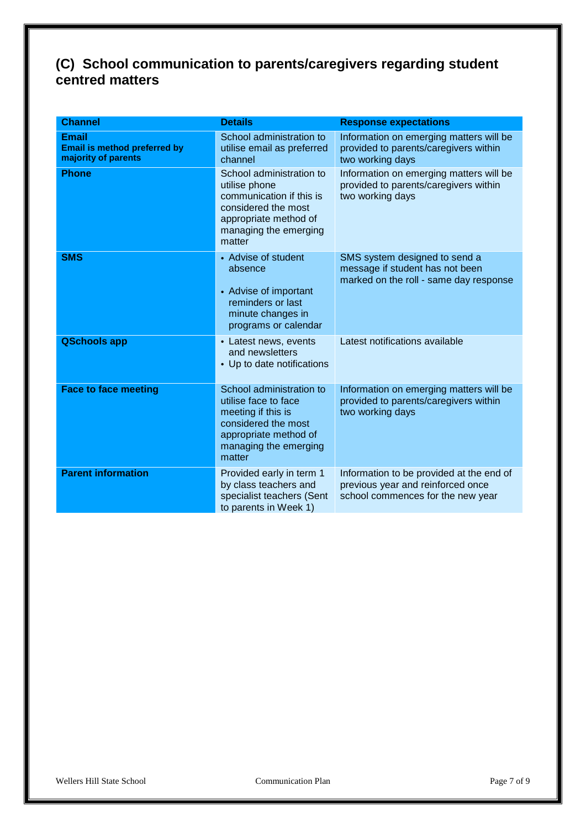## **(C) School communication to parents/caregivers regarding student centred matters**

| <b>Channel</b>                                                      | <b>Details</b>                                                                                                                                            | <b>Response expectations</b>                                                                                       |
|---------------------------------------------------------------------|-----------------------------------------------------------------------------------------------------------------------------------------------------------|--------------------------------------------------------------------------------------------------------------------|
| <b>Email</b><br>Email is method preferred by<br>majority of parents | School administration to<br>utilise email as preferred<br>channel                                                                                         | Information on emerging matters will be<br>provided to parents/caregivers within<br>two working days               |
| <b>Phone</b>                                                        | School administration to<br>utilise phone<br>communication if this is<br>considered the most<br>appropriate method of<br>managing the emerging<br>matter  | Information on emerging matters will be<br>provided to parents/caregivers within<br>two working days               |
| <b>SMS</b>                                                          | • Advise of student<br>absence<br>• Advise of important<br>reminders or last<br>minute changes in<br>programs or calendar                                 | SMS system designed to send a<br>message if student has not been<br>marked on the roll - same day response         |
| <b>QSchools app</b>                                                 | • Latest news, events<br>and newsletters<br>• Up to date notifications                                                                                    | Latest notifications available                                                                                     |
| <b>Face to face meeting</b>                                         | School administration to<br>utilise face to face<br>meeting if this is<br>considered the most<br>appropriate method of<br>managing the emerging<br>matter | Information on emerging matters will be<br>provided to parents/caregivers within<br>two working days               |
| <b>Parent information</b>                                           | Provided early in term 1<br>by class teachers and<br>specialist teachers (Sent<br>to parents in Week 1)                                                   | Information to be provided at the end of<br>previous year and reinforced once<br>school commences for the new year |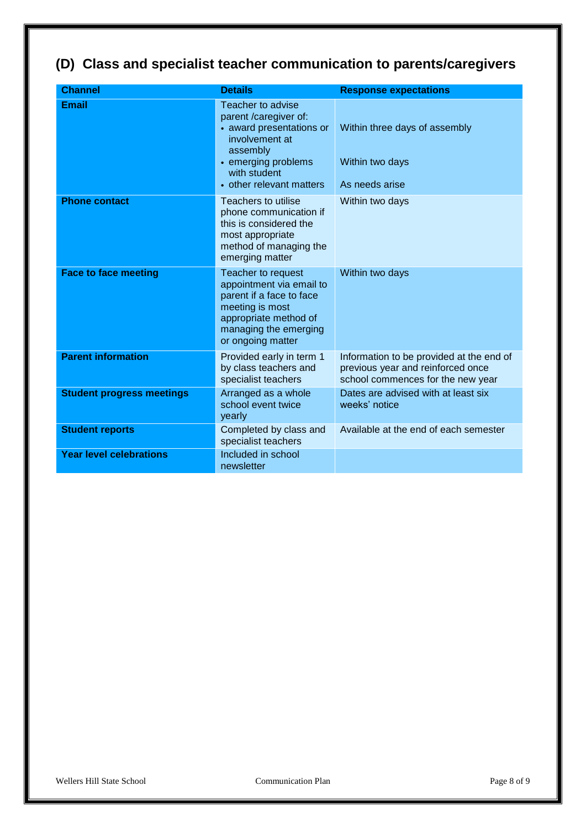# **(D) Class and specialist teacher communication to parents/caregivers**

| <b>Channel</b>                   | <b>Details</b>                                                                                                                                                          | <b>Response expectations</b>                                                                                       |
|----------------------------------|-------------------------------------------------------------------------------------------------------------------------------------------------------------------------|--------------------------------------------------------------------------------------------------------------------|
| <b>Email</b>                     | Teacher to advise<br>parent /caregiver of:<br>• award presentations or<br>involvement at<br>assembly<br>• emerging problems<br>with student<br>• other relevant matters | Within three days of assembly<br>Within two days<br>As needs arise                                                 |
| <b>Phone contact</b>             | Teachers to utilise<br>phone communication if<br>this is considered the<br>most appropriate<br>method of managing the<br>emerging matter                                | Within two days                                                                                                    |
| <b>Face to face meeting</b>      | Teacher to request<br>appointment via email to<br>parent if a face to face<br>meeting is most<br>appropriate method of<br>managing the emerging<br>or ongoing matter    | Within two days                                                                                                    |
| <b>Parent information</b>        | Provided early in term 1<br>by class teachers and<br>specialist teachers                                                                                                | Information to be provided at the end of<br>previous year and reinforced once<br>school commences for the new year |
| <b>Student progress meetings</b> | Arranged as a whole<br>school event twice<br>yearly                                                                                                                     | Dates are advised with at least six<br>weeks' notice                                                               |
| <b>Student reports</b>           | Completed by class and<br>specialist teachers                                                                                                                           | Available at the end of each semester                                                                              |
| <b>Year level celebrations</b>   | Included in school<br>newsletter                                                                                                                                        |                                                                                                                    |